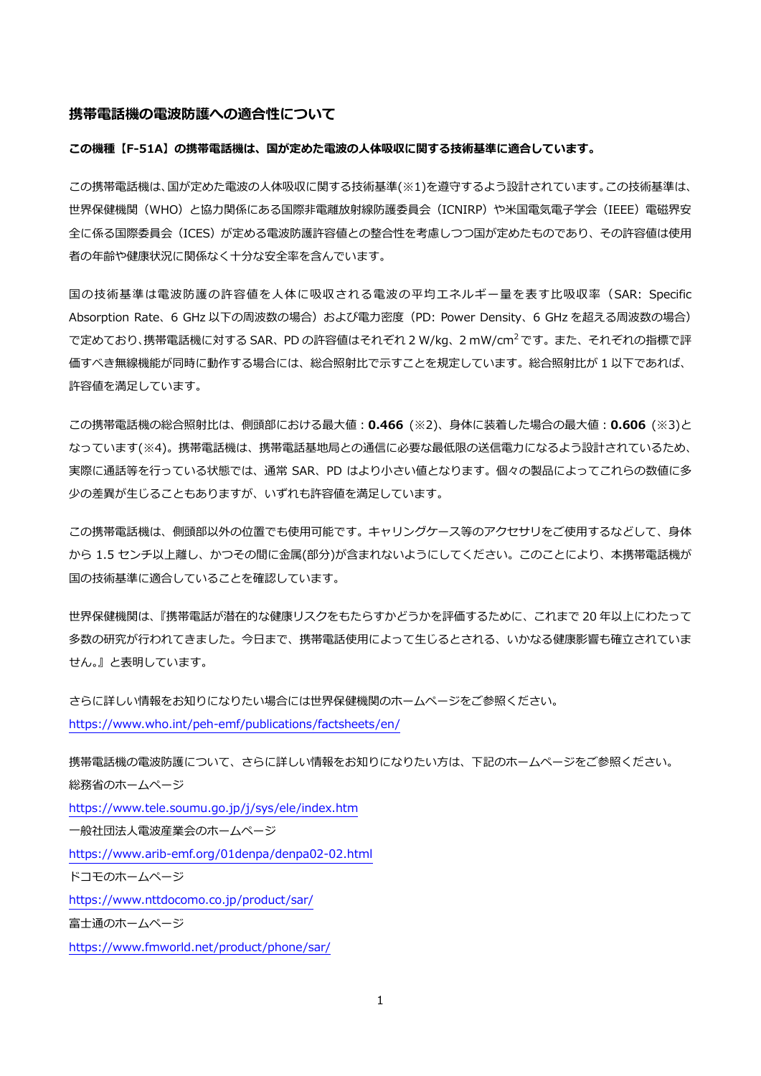#### **携帯電話機の電波防護への適合性について**

### **この機種【F-51A】の携帯電話機は、国が定めた電波の⼈体吸収に関する技術基準に適合しています。**

この携帯電話機は、国が定めた電波の人体吸収に関する技術基準(※1)を遵守するよう設計されています。この技術基準は、 世界保健機関(WHO)と協⼒関係にある国際⾮電離放射線防護委員会(ICNIRP)や⽶国電気電⼦学会(IEEE)電磁界安 全に係る国際委員会(ICES)が定める電波防護許容値との整合性を考慮しつつ国が定めたものであり、その許容値は使用 者の年齢や健康状況に関係なく⼗分な安全率を含んでいます。

国の技術基準は電波防護の許容値を⼈体に吸収される電波の平均エネルギー量を表す⽐吸収率(SAR: Specific Absorption Rate、6 GHz 以下の周波数の場合)および電力密度 (PD: Power Density、6 GHz を超える周波数の場合) で定めており、携帯電話機に対する SAR、PD の許容値はそれぞれ 2 W/kg、2 mW/cm<sup>2</sup> です。 また、 それぞれの指標で評 価すべき無線機能が同時に動作する場合には、総合照射比で示すことを規定しています。総合照射比が 1 以下であれば、 許容値を満足しています。

この携帯電話機の総合照射比は、側頭部における最大値: 0.466 (※2)、身体に装着した場合の最大値: 0.606 (※3)と なっています(※4)。携帯電話機は、携帯電話基地局との通信に必要な最低限の送信電力になるよう設計されているため、 実際に通話等を⾏っている状態では、通常 SAR、PD はより⼩さい値となります。個々の製品によってこれらの数値に多 少の差異が⽣じることもありますが、いずれも許容値を満⾜しています。

この携帯電話機は、側頭部以外の位置でも使用可能です。キャリングケース等のアクセサリをご使用するなどして、身体 から 1.5 センチ以上離し、かつその間に⾦属(部分)が含まれないようにしてください。このことにより、本携帯電話機が 国の技術基準に適合していることを確認しています。

世界保健機関は、『携帯電話が潜在的な健康リスクをもたらすかどうかを評価するために、これまで 20 年以上にわたって 多数の研究が行われてきました。今日まで、携帯電話使用によって生じるとされる、いかなる健康影響も確立されていま せん。』と表明しています。

さらに詳しい情報をお知りになりたい場合には世界保健機関のホームページをご参照ください。 https://www.who.int/peh-emf/publications/factsheets/en/

携帯電話機の電波防護について、さらに詳しい情報をお知りになりたい方は、下記のホームページをご参照ください。 総務省のホームページ https://www.tele.soumu.go.jp/j/sys/ele/index.htm ⼀般社団法⼈電波産業会のホームページ https://www.arib-emf.org/01denpa/denpa02-02.html ドコモのホームページ https://www.nttdocomo.co.jp/product/sar/ 富士通のホームページ https://www.fmworld.net/product/phone/sar/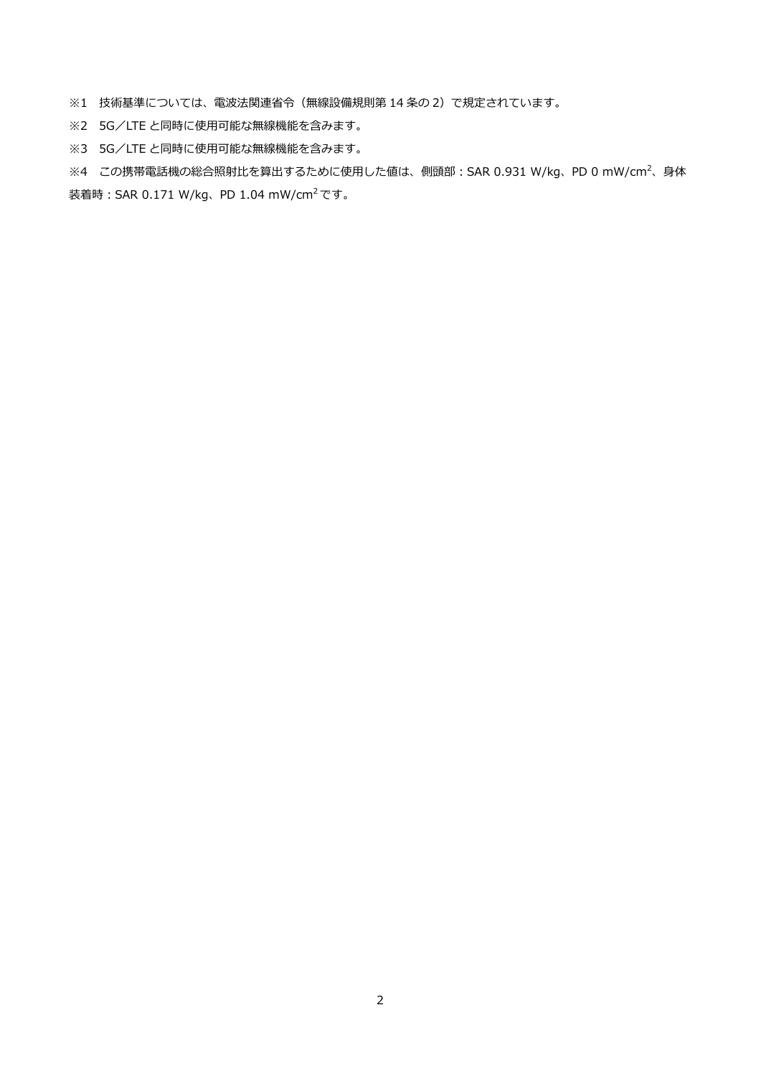※1 技術基準については、電波法関連省令(無線設備規則第 14 条の 2)で規定されています。

※2 5G/LTE と同時に使用可能な無線機能を含みます。

※3 5G/LTE と同時に使用可能な無線機能を含みます。

※4 この携帯電話機の総合照射比を算出するために使用した値は、側頭部:SAR 0.931 W/kg、PD 0 mW/cm<sup>2</sup>、身体 装着時: SAR 0.171 W/kg、PD 1.04 mW/cm<sup>2</sup>です。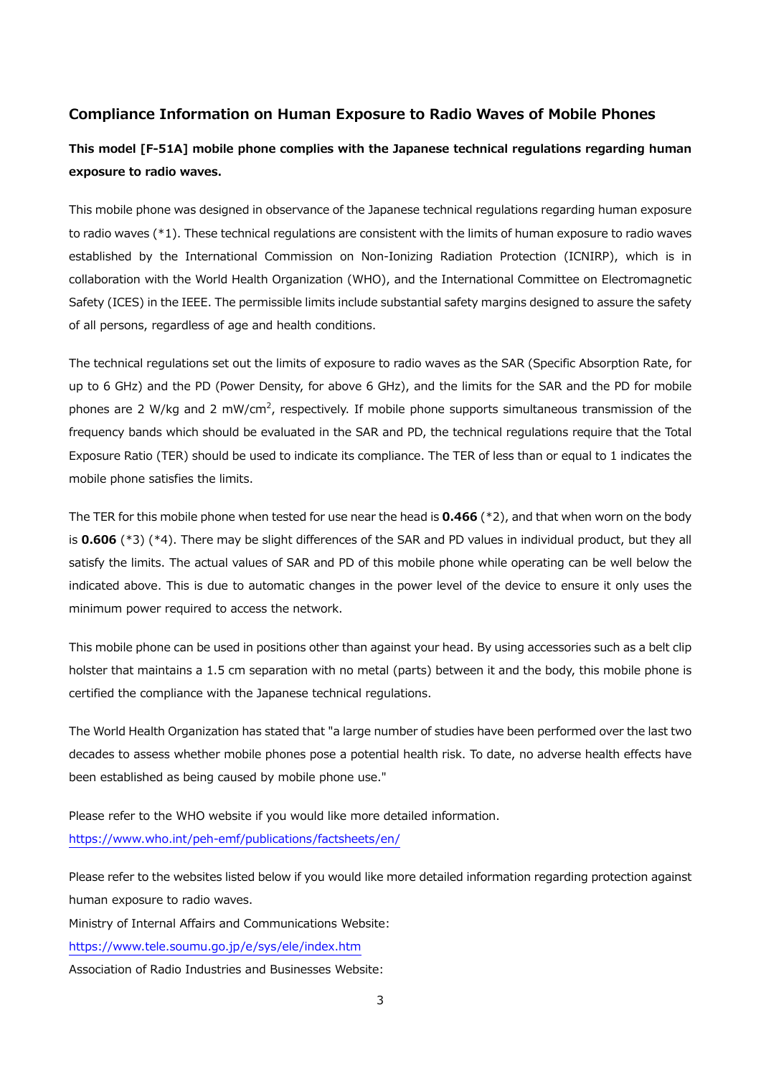### **Compliance Information on Human Exposure to Radio Waves of Mobile Phones**

# **This model [F-51A] mobile phone complies with the Japanese technical regulations regarding human exposure to radio waves.**

This mobile phone was designed in observance of the Japanese technical regulations regarding human exposure to radio waves (\*1). These technical regulations are consistent with the limits of human exposure to radio waves established by the International Commission on Non-Ionizing Radiation Protection (ICNIRP), which is in collaboration with the World Health Organization (WHO), and the International Committee on Electromagnetic Safety (ICES) in the IEEE. The permissible limits include substantial safety margins designed to assure the safety of all persons, regardless of age and health conditions.

The technical regulations set out the limits of exposure to radio waves as the SAR (Specific Absorption Rate, for up to 6 GHz) and the PD (Power Density, for above 6 GHz), and the limits for the SAR and the PD for mobile phones are 2 W/kg and 2 mW/cm<sup>2</sup>, respectively. If mobile phone supports simultaneous transmission of the frequency bands which should be evaluated in the SAR and PD, the technical regulations require that the Total Exposure Ratio (TER) should be used to indicate its compliance. The TER of less than or equal to 1 indicates the mobile phone satisfies the limits.

The TER for this mobile phone when tested for use near the head is **0.466** (\*2), and that when worn on the body is **0.606** (\*3) (\*4). There may be slight differences of the SAR and PD values in individual product, but they all satisfy the limits. The actual values of SAR and PD of this mobile phone while operating can be well below the indicated above. This is due to automatic changes in the power level of the device to ensure it only uses the minimum power required to access the network.

This mobile phone can be used in positions other than against your head. By using accessories such as a belt clip holster that maintains a 1.5 cm separation with no metal (parts) between it and the body, this mobile phone is certified the compliance with the Japanese technical regulations.

The World Health Organization has stated that "a large number of studies have been performed over the last two decades to assess whether mobile phones pose a potential health risk. To date, no adverse health effects have been established as being caused by mobile phone use."

Please refer to the WHO website if you would like more detailed information. https://www.who.int/peh-emf/publications/factsheets/en/

Please refer to the websites listed below if you would like more detailed information regarding protection against human exposure to radio waves.

Ministry of Internal Affairs and Communications Website:

https://www.tele.soumu.go.jp/e/sys/ele/index.htm

Association of Radio Industries and Businesses Website: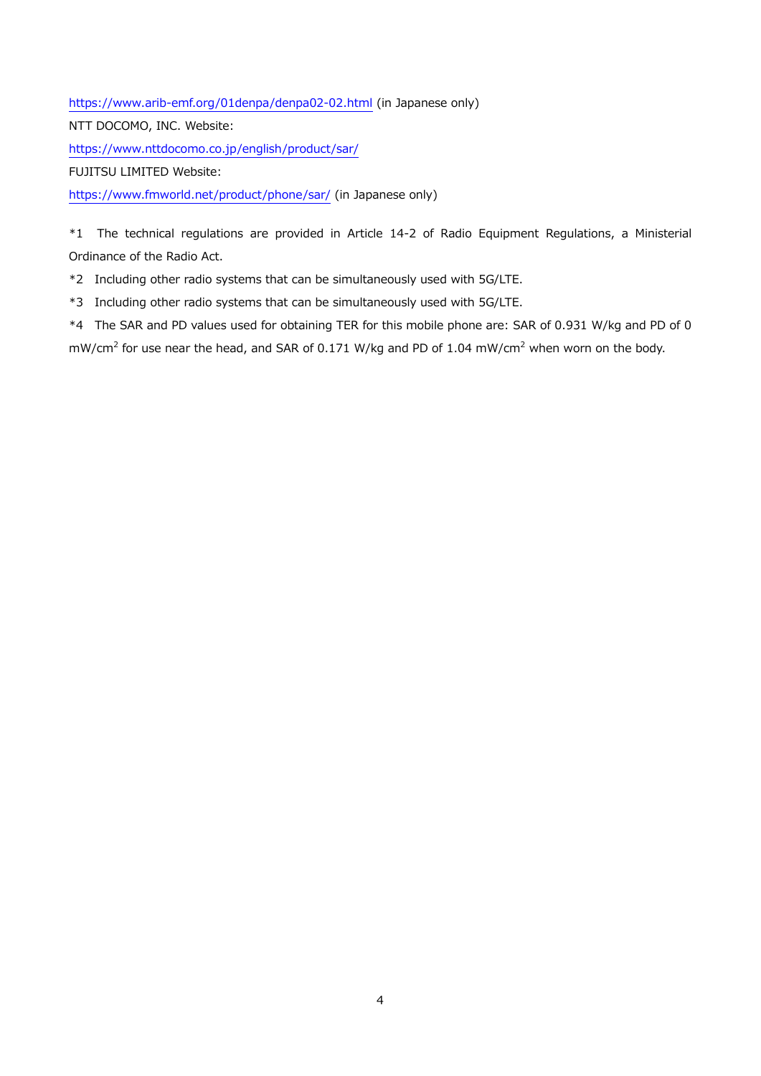https://www.arib-emf.org/01denpa/denpa02-02.html (in Japanese only) NTT DOCOMO, INC. Website: https://www.nttdocomo.co.jp/english/product/sar/ FUJITSU LIMITED Website: https://www.fmworld.net/product/phone/sar/ (in Japanese only)

\*1 The technical regulations are provided in Article 14-2 of Radio Equipment Regulations, a Ministerial Ordinance of the Radio Act.

\*2 Including other radio systems that can be simultaneously used with 5G/LTE.

\*3 Including other radio systems that can be simultaneously used with 5G/LTE.

\*4 The SAR and PD values used for obtaining TER for this mobile phone are: SAR of 0.931 W/kg and PD of 0  $\text{mW/cm}^2$  for use near the head, and SAR of 0.171 W/kg and PD of 1.04  $\text{mW/cm}^2$  when worn on the body.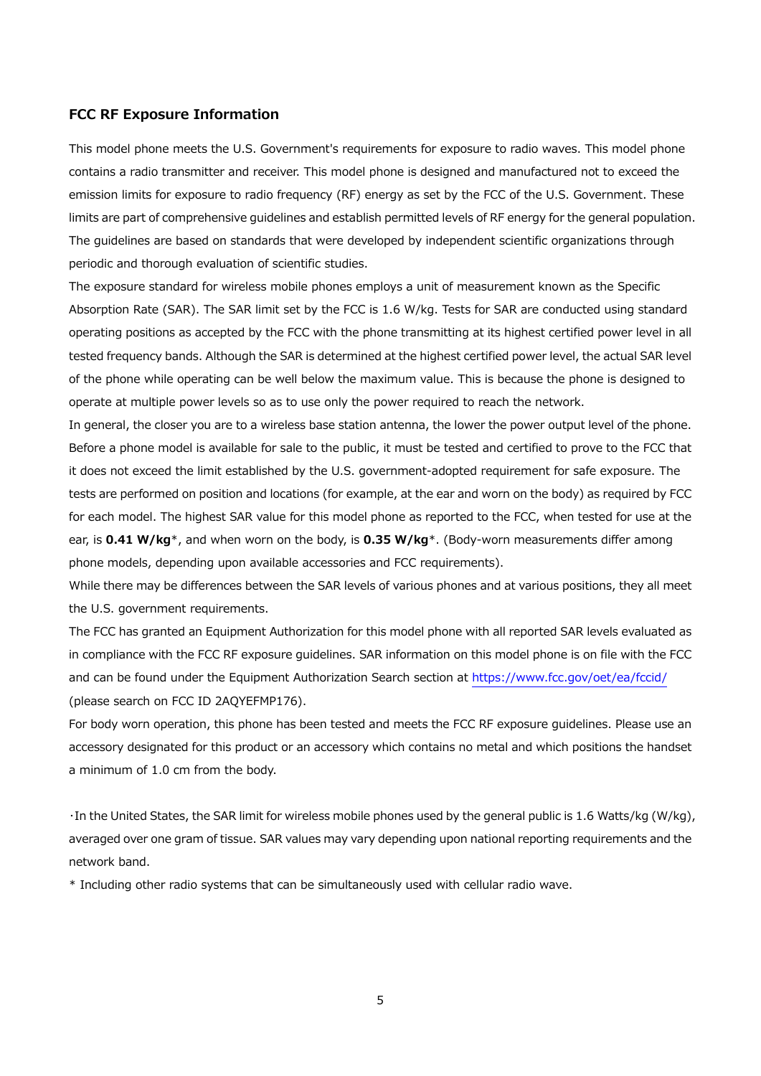### **FCC RF Exposure Information**

This model phone meets the U.S. Government's requirements for exposure to radio waves. This model phone contains a radio transmitter and receiver. This model phone is designed and manufactured not to exceed the emission limits for exposure to radio frequency (RF) energy as set by the FCC of the U.S. Government. These limits are part of comprehensive guidelines and establish permitted levels of RF energy for the general population. The guidelines are based on standards that were developed by independent scientific organizations through periodic and thorough evaluation of scientific studies.

The exposure standard for wireless mobile phones employs a unit of measurement known as the Specific Absorption Rate (SAR). The SAR limit set by the FCC is 1.6 W/kg. Tests for SAR are conducted using standard operating positions as accepted by the FCC with the phone transmitting at its highest certified power level in all tested frequency bands. Although the SAR is determined at the highest certified power level, the actual SAR level of the phone while operating can be well below the maximum value. This is because the phone is designed to operate at multiple power levels so as to use only the power required to reach the network.

In general, the closer you are to a wireless base station antenna, the lower the power output level of the phone. Before a phone model is available for sale to the public, it must be tested and certified to prove to the FCC that it does not exceed the limit established by the U.S. government-adopted requirement for safe exposure. The tests are performed on position and locations (for example, at the ear and worn on the body) as required by FCC for each model. The highest SAR value for this model phone as reported to the FCC, when tested for use at the ear, is **0.41 W/kg**\*, and when worn on the body, is **0.35 W/kg**\*. (Body-worn measurements differ among phone models, depending upon available accessories and FCC requirements).

While there may be differences between the SAR levels of various phones and at various positions, they all meet the U.S. government requirements.

The FCC has granted an Equipment Authorization for this model phone with all reported SAR levels evaluated as in compliance with the FCC RF exposure guidelines. SAR information on this model phone is on file with the FCC and can be found under the Equipment Authorization Search section at https://www.fcc.gov/oet/ea/fccid/ (please search on FCC ID 2AQYEFMP176).

For body worn operation, this phone has been tested and meets the FCC RF exposure guidelines. Please use an accessory designated for this product or an accessory which contains no metal and which positions the handset a minimum of 1.0 cm from the body.

・In the United States, the SAR limit for wireless mobile phones used by the general public is 1.6 Watts/kg (W/kg), averaged over one gram of tissue. SAR values may vary depending upon national reporting requirements and the network band.

\* Including other radio systems that can be simultaneously used with cellular radio wave.